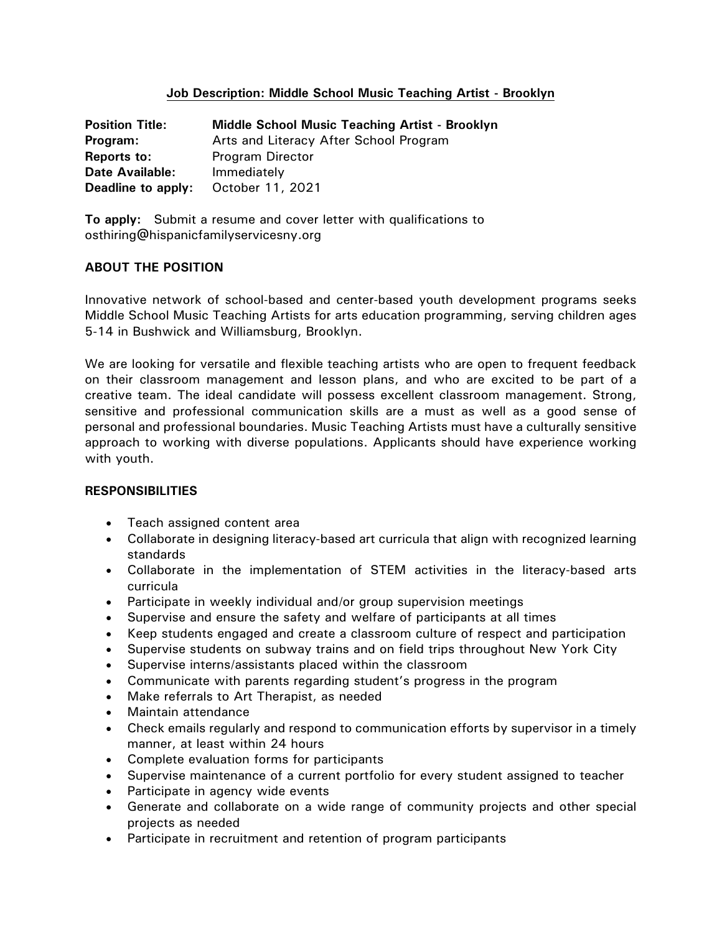# **Job Description: Middle School Music Teaching Artist - Brooklyn**

| <b>Position Title:</b> | <b>Middle School Music Teaching Artist - Brooklyn</b> |
|------------------------|-------------------------------------------------------|
| Program:               | Arts and Literacy After School Program                |
| Reports to:            | <b>Program Director</b>                               |
| <b>Date Available:</b> | Immediately                                           |
| Deadline to apply:     | October 11, 2021                                      |

**To apply:** Submit a resume and cover letter with qualifications to osthiring@hispanicfamilyservicesny.org

# **ABOUT THE POSITION**

Innovative network of school-based and center-based youth development programs seeks Middle School Music Teaching Artists for arts education programming, serving children ages 5-14 in Bushwick and Williamsburg, Brooklyn.

We are looking for versatile and flexible teaching artists who are open to frequent feedback on their classroom management and lesson plans, and who are excited to be part of a creative team. The ideal candidate will possess excellent classroom management. Strong, sensitive and professional communication skills are a must as well as a good sense of personal and professional boundaries. Music Teaching Artists must have a culturally sensitive approach to working with diverse populations. Applicants should have experience working with youth.

## **RESPONSIBILITIES**

- Teach assigned content area
- Collaborate in designing literacy-based art curricula that align with recognized learning standards
- Collaborate in the implementation of STEM activities in the literacy-based arts curricula
- Participate in weekly individual and/or group supervision meetings
- Supervise and ensure the safety and welfare of participants at all times
- Keep students engaged and create a classroom culture of respect and participation
- Supervise students on subway trains and on field trips throughout New York City
- Supervise interns/assistants placed within the classroom
- Communicate with parents regarding student's progress in the program
- Make referrals to Art Therapist, as needed
- Maintain attendance
- Check emails regularly and respond to communication efforts by supervisor in a timely manner, at least within 24 hours
- Complete evaluation forms for participants
- Supervise maintenance of a current portfolio for every student assigned to teacher
- Participate in agency wide events
- Generate and collaborate on a wide range of community projects and other special projects as needed
- Participate in recruitment and retention of program participants